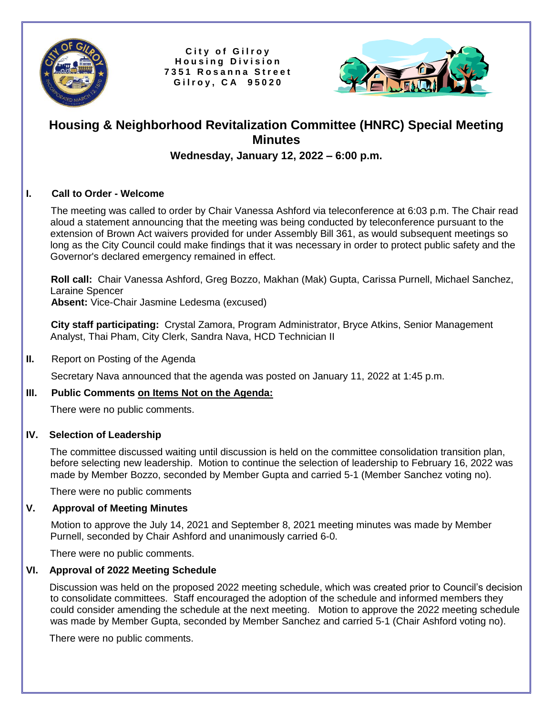

City of Gilroy **H o u s i n g D i v i s i o n 7 3 5 1 R o s a n n a S t r e e t G i l r o y , C A 9 5 0 2 0**



# **Housing & Neighborhood Revitalization Committee (HNRC) Special Meeting Minutes**

## **Wednesday, January 12, 2022 – 6:00 p.m.**

#### **I. Call to Order - Welcome**

 The meeting was called to order by Chair Vanessa Ashford via teleconference at 6:03 p.m. The Chair read aloud a statement announcing that the meeting was being conducted by teleconference pursuant to the extension of Brown Act waivers provided for under Assembly Bill 361, as would subsequent meetings so long as the City Council could make findings that it was necessary in order to protect public safety and the Governor's declared emergency remained in effect.

 **Roll call:** Chair Vanessa Ashford, Greg Bozzo, Makhan (Mak) Gupta, Carissa Purnell, Michael Sanchez, Laraine Spencer

 **Absent:** Vice-Chair Jasmine Ledesma (excused)

 **City staff participating:** Crystal Zamora, Program Administrator, Bryce Atkins, Senior Management Analyst, Thai Pham, City Clerk, Sandra Nava, HCD Technician II

#### **II.** Report on Posting of the Agenda

Secretary Nava announced that the agenda was posted on January 11, 2022 at 1:45 p.m.

## **III. Public Comments on Items Not on the Agenda:**

There were no public comments.

#### **IV. Selection of Leadership**

The committee discussed waiting until discussion is held on the committee consolidation transition plan, before selecting new leadership. Motion to continue the selection of leadership to February 16, 2022 was made by Member Bozzo, seconded by Member Gupta and carried 5-1 (Member Sanchez voting no).

There were no public comments

## **V. Approval of Meeting Minutes**

 Motion to approve the July 14, 2021 and September 8, 2021 meeting minutes was made by Member Purnell, seconded by Chair Ashford and unanimously carried 6-0.

There were no public comments.

## **VI. Approval of 2022 Meeting Schedule**

Discussion was held on the proposed 2022 meeting schedule, which was created prior to Council's decision to consolidate committees. Staff encouraged the adoption of the schedule and informed members they could consider amending the schedule at the next meeting. Motion to approve the 2022 meeting schedule was made by Member Gupta, seconded by Member Sanchez and carried 5-1 (Chair Ashford voting no).

There were no public comments.